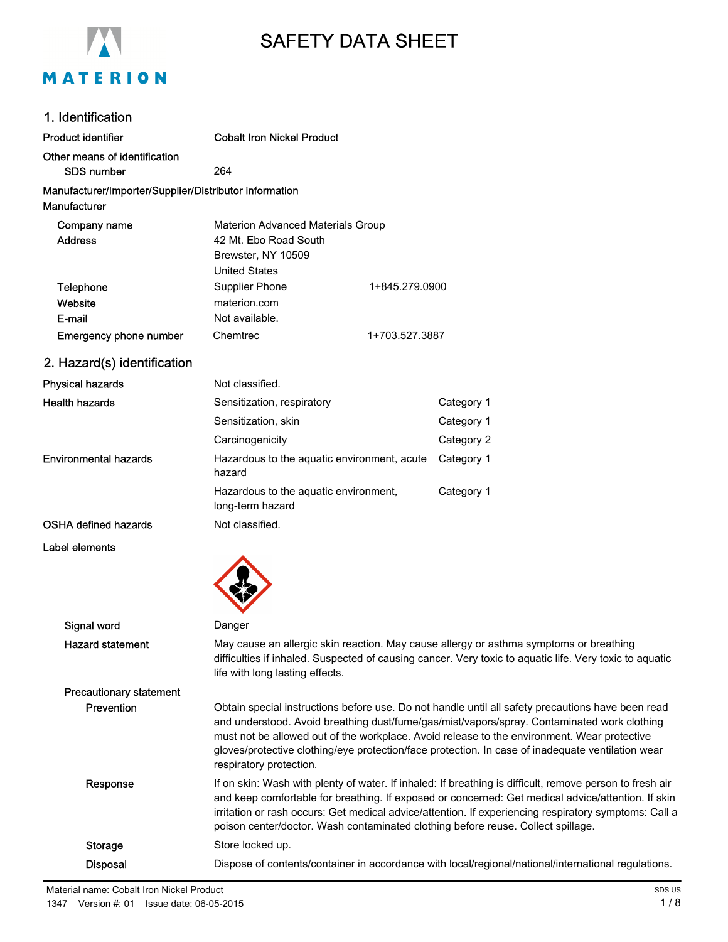

# SAFETY DATA SHEET

| 1. Identification                                                      |                                                                                                                 |                |            |
|------------------------------------------------------------------------|-----------------------------------------------------------------------------------------------------------------|----------------|------------|
| <b>Product identifier</b>                                              | <b>Cobalt Iron Nickel Product</b>                                                                               |                |            |
| Other means of identification<br><b>SDS number</b>                     | 264                                                                                                             |                |            |
| Manufacturer/Importer/Supplier/Distributor information<br>Manufacturer |                                                                                                                 |                |            |
| Company name<br><b>Address</b>                                         | <b>Materion Advanced Materials Group</b><br>42 Mt. Ebo Road South<br>Brewster, NY 10509<br><b>United States</b> |                |            |
| <b>Telephone</b><br>Website<br>E-mail                                  | <b>Supplier Phone</b><br>materion.com<br>Not available.                                                         | 1+845.279.0900 |            |
| Emergency phone number                                                 | Chemtrec                                                                                                        | 1+703.527.3887 |            |
| 2. Hazard(s) identification                                            |                                                                                                                 |                |            |
| <b>Physical hazards</b>                                                | Not classified.                                                                                                 |                |            |
| <b>Health hazards</b>                                                  | Sensitization, respiratory                                                                                      |                | Category 1 |
|                                                                        | Sensitization, skin                                                                                             |                | Category 1 |
|                                                                        | Carcinogenicity                                                                                                 |                | Category 2 |
| <b>Environmental hazards</b>                                           | Hazardous to the aquatic environment, acute<br>hazard                                                           |                | Category 1 |
|                                                                        | Hazardous to the aquatic environment,<br>long-term hazard                                                       |                | Category 1 |
| OSHA defined hazards                                                   | Not classified.                                                                                                 |                |            |

 $\blacktriangle$ 

Label elements

| Signal word                    | Danger                                                                                                                                                                                                                                                                                                                                                                                                                          |
|--------------------------------|---------------------------------------------------------------------------------------------------------------------------------------------------------------------------------------------------------------------------------------------------------------------------------------------------------------------------------------------------------------------------------------------------------------------------------|
| <b>Hazard statement</b>        | May cause an allergic skin reaction. May cause allergy or asthma symptoms or breathing<br>difficulties if inhaled. Suspected of causing cancer. Very toxic to aquatic life. Very toxic to aquatic<br>life with long lasting effects.                                                                                                                                                                                            |
| <b>Precautionary statement</b> |                                                                                                                                                                                                                                                                                                                                                                                                                                 |
| Prevention                     | Obtain special instructions before use. Do not handle until all safety precautions have been read<br>and understood. Avoid breathing dust/fume/gas/mist/vapors/spray. Contaminated work clothing<br>must not be allowed out of the workplace. Avoid release to the environment. Wear protective<br>gloves/protective clothing/eye protection/face protection. In case of inadequate ventilation wear<br>respiratory protection. |
| Response                       | If on skin: Wash with plenty of water. If inhaled: If breathing is difficult, remove person to fresh air<br>and keep comfortable for breathing. If exposed or concerned: Get medical advice/attention. If skin<br>irritation or rash occurs: Get medical advice/attention. If experiencing respiratory symptoms: Call a<br>poison center/doctor. Wash contaminated clothing before reuse. Collect spillage.                     |
| Storage                        | Store locked up.                                                                                                                                                                                                                                                                                                                                                                                                                |
| <b>Disposal</b>                | Dispose of contents/container in accordance with local/regional/national/international regulations.                                                                                                                                                                                                                                                                                                                             |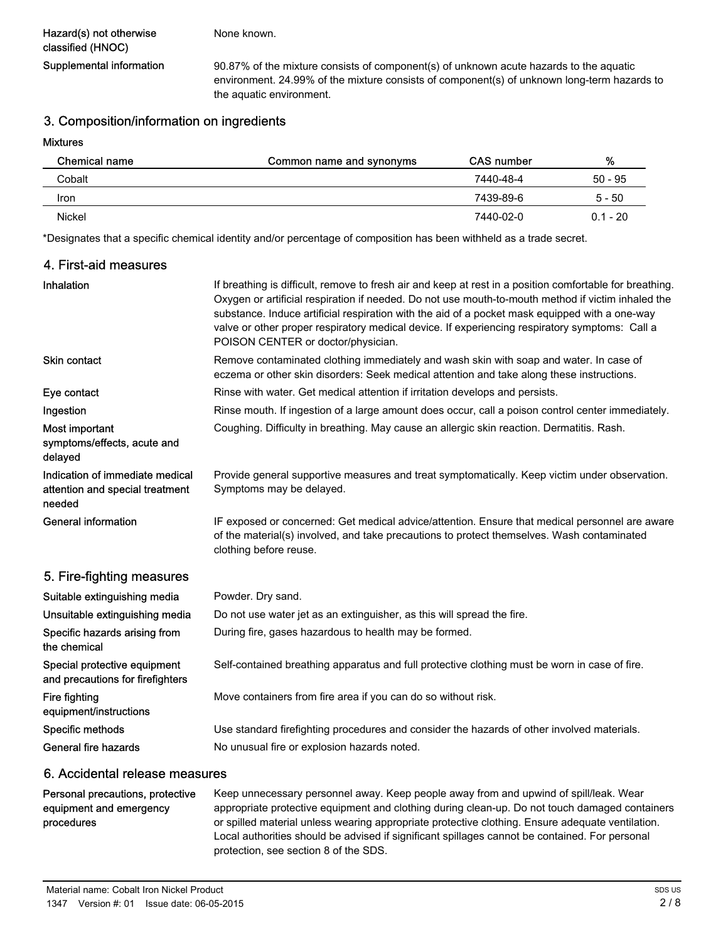None known.

Supplemental information 90.87% of the mixture consists of component(s) of unknown acute hazards to the aquatic environment. 24.99% of the mixture consists of component(s) of unknown long-term hazards to the aquatic environment.

#### 3. Composition/information on ingredients

#### Mixtures

| Chemical name | Common name and synonyms | <b>CAS</b> number | %          |
|---------------|--------------------------|-------------------|------------|
| Cobalt        |                          | 7440-48-4         | $50 - 95$  |
| Iron          |                          | 7439-89-6         | $5 - 50$   |
| <b>Nickel</b> |                          | 7440-02-0         | $0.1 - 20$ |

\*Designates that a specific chemical identity and/or percentage of composition has been withheld as a trade secret.

#### 4. First-aid measures

| Inhalation                                                                   | If breathing is difficult, remove to fresh air and keep at rest in a position comfortable for breathing.<br>Oxygen or artificial respiration if needed. Do not use mouth-to-mouth method if victim inhaled the<br>substance. Induce artificial respiration with the aid of a pocket mask equipped with a one-way<br>valve or other proper respiratory medical device. If experiencing respiratory symptoms: Call a<br>POISON CENTER or doctor/physician. |
|------------------------------------------------------------------------------|----------------------------------------------------------------------------------------------------------------------------------------------------------------------------------------------------------------------------------------------------------------------------------------------------------------------------------------------------------------------------------------------------------------------------------------------------------|
| Skin contact                                                                 | Remove contaminated clothing immediately and wash skin with soap and water. In case of<br>eczema or other skin disorders: Seek medical attention and take along these instructions.                                                                                                                                                                                                                                                                      |
| Eye contact                                                                  | Rinse with water. Get medical attention if irritation develops and persists.                                                                                                                                                                                                                                                                                                                                                                             |
| Ingestion                                                                    | Rinse mouth. If ingestion of a large amount does occur, call a poison control center immediately.                                                                                                                                                                                                                                                                                                                                                        |
| Most important<br>symptoms/effects, acute and<br>delayed                     | Coughing. Difficulty in breathing. May cause an allergic skin reaction. Dermatitis. Rash.                                                                                                                                                                                                                                                                                                                                                                |
| Indication of immediate medical<br>attention and special treatment<br>needed | Provide general supportive measures and treat symptomatically. Keep victim under observation.<br>Symptoms may be delayed.                                                                                                                                                                                                                                                                                                                                |
| <b>General information</b>                                                   | IF exposed or concerned: Get medical advice/attention. Ensure that medical personnel are aware<br>of the material(s) involved, and take precautions to protect themselves. Wash contaminated<br>clothing before reuse.                                                                                                                                                                                                                                   |
| 5. Fire-fighting measures                                                    |                                                                                                                                                                                                                                                                                                                                                                                                                                                          |
| Suitable extinguishing media                                                 | Powder. Dry sand.                                                                                                                                                                                                                                                                                                                                                                                                                                        |
| Unsuitable extinguishing media                                               | Do not use water jet as an extinguisher, as this will spread the fire.                                                                                                                                                                                                                                                                                                                                                                                   |
| Specific hazards arising from<br>the chemical                                | During fire, gases hazardous to health may be formed.                                                                                                                                                                                                                                                                                                                                                                                                    |
| Special protective equipment<br>and precautions for firefighters             | Self-contained breathing apparatus and full protective clothing must be worn in case of fire.                                                                                                                                                                                                                                                                                                                                                            |
| Fire fighting<br>equipment/instructions                                      | Move containers from fire area if you can do so without risk.                                                                                                                                                                                                                                                                                                                                                                                            |
| Specific methods                                                             | Use standard firefighting procedures and consider the hazards of other involved materials.                                                                                                                                                                                                                                                                                                                                                               |
| General fire hazards                                                         | No unusual fire or explosion hazards noted.                                                                                                                                                                                                                                                                                                                                                                                                              |

#### 6. Accidental release measures

#### Personal precautions, protective equipment and emergency procedures

Keep unnecessary personnel away. Keep people away from and upwind of spill/leak. Wear appropriate protective equipment and clothing during clean-up. Do not touch damaged containers or spilled material unless wearing appropriate protective clothing. Ensure adequate ventilation. Local authorities should be advised if significant spillages cannot be contained. For personal protection, see section 8 of the SDS.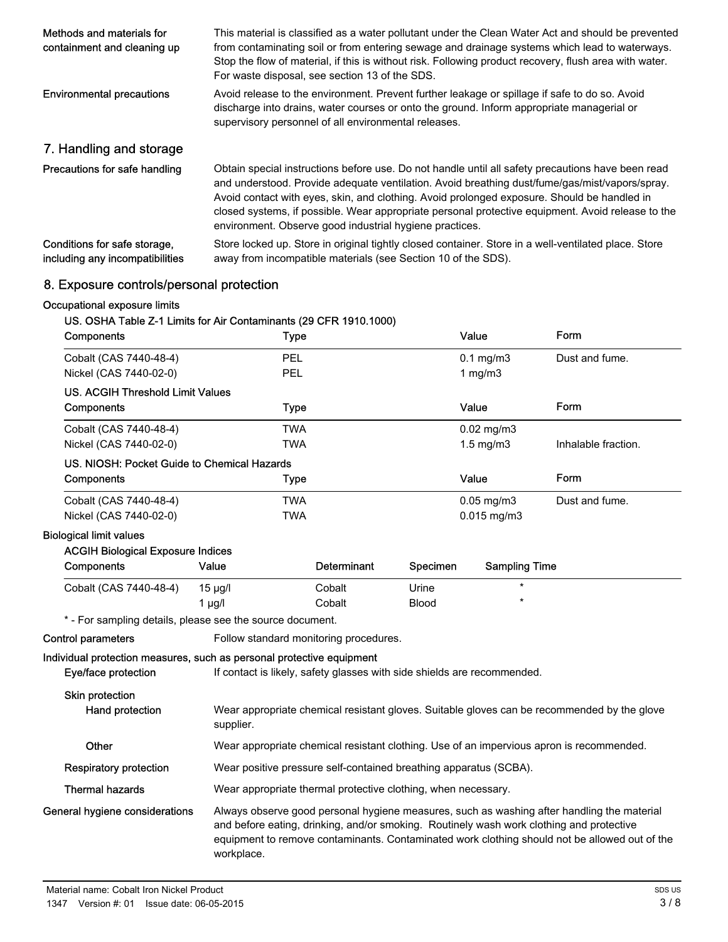| Methods and materials for<br>containment and cleaning up        | This material is classified as a water pollutant under the Clean Water Act and should be prevented<br>from contaminating soil or from entering sewage and drainage systems which lead to waterways.<br>Stop the flow of material, if this is without risk. Following product recovery, flush area with water.<br>For waste disposal, see section 13 of the SDS.                                                                                                    |
|-----------------------------------------------------------------|--------------------------------------------------------------------------------------------------------------------------------------------------------------------------------------------------------------------------------------------------------------------------------------------------------------------------------------------------------------------------------------------------------------------------------------------------------------------|
| <b>Environmental precautions</b>                                | Avoid release to the environment. Prevent further leakage or spillage if safe to do so. Avoid<br>discharge into drains, water courses or onto the ground. Inform appropriate managerial or<br>supervisory personnel of all environmental releases.                                                                                                                                                                                                                 |
| 7. Handling and storage                                         |                                                                                                                                                                                                                                                                                                                                                                                                                                                                    |
| Precautions for safe handling                                   | Obtain special instructions before use. Do not handle until all safety precautions have been read<br>and understood. Provide adequate ventilation. Avoid breathing dust/fume/gas/mist/vapors/spray.<br>Avoid contact with eyes, skin, and clothing. Avoid prolonged exposure. Should be handled in<br>closed systems, if possible. Wear appropriate personal protective equipment. Avoid release to the<br>environment. Observe good industrial hygiene practices. |
| Conditions for safe storage,<br>including any incompatibilities | Store locked up. Store in original tightly closed container. Store in a well-ventilated place. Store<br>away from incompatible materials (see Section 10 of the SDS).                                                                                                                                                                                                                                                                                              |

### 8. Exposure controls/personal protection

### Occupational exposure limits

### US. OSHA Table Z-1 Limits for Air Contaminants (29 CFR 1910.1000)

| Components                                                            | <b>Type</b>                                                             |                                                                                             |              | Value                | Form                                                                                                                                                                                                                                                                                    |
|-----------------------------------------------------------------------|-------------------------------------------------------------------------|---------------------------------------------------------------------------------------------|--------------|----------------------|-----------------------------------------------------------------------------------------------------------------------------------------------------------------------------------------------------------------------------------------------------------------------------------------|
| Cobalt (CAS 7440-48-4)                                                | PEL                                                                     |                                                                                             |              | $0.1$ mg/m $3$       | Dust and fume.                                                                                                                                                                                                                                                                          |
| Nickel (CAS 7440-02-0)                                                | PEL                                                                     |                                                                                             |              | 1 $mg/m3$            |                                                                                                                                                                                                                                                                                         |
| <b>US. ACGIH Threshold Limit Values</b>                               |                                                                         |                                                                                             |              |                      |                                                                                                                                                                                                                                                                                         |
| Components                                                            | Type                                                                    |                                                                                             |              | Value                | Form                                                                                                                                                                                                                                                                                    |
| Cobalt (CAS 7440-48-4)                                                | <b>TWA</b>                                                              |                                                                                             |              | $0.02$ mg/m $3$      |                                                                                                                                                                                                                                                                                         |
| Nickel (CAS 7440-02-0)                                                | <b>TWA</b>                                                              |                                                                                             |              | $1.5 \text{ mg/m}$ 3 | Inhalable fraction.                                                                                                                                                                                                                                                                     |
| US. NIOSH: Pocket Guide to Chemical Hazards                           |                                                                         |                                                                                             |              |                      |                                                                                                                                                                                                                                                                                         |
| Components                                                            | Type                                                                    |                                                                                             |              | Value                | Form                                                                                                                                                                                                                                                                                    |
| Cobalt (CAS 7440-48-4)                                                | <b>TWA</b>                                                              |                                                                                             |              | $0.05$ mg/m $3$      | Dust and fume.                                                                                                                                                                                                                                                                          |
| Nickel (CAS 7440-02-0)                                                | <b>TWA</b>                                                              |                                                                                             |              | $0.015$ mg/m $3$     |                                                                                                                                                                                                                                                                                         |
| <b>Biological limit values</b>                                        |                                                                         |                                                                                             |              |                      |                                                                                                                                                                                                                                                                                         |
| <b>ACGIH Biological Exposure Indices</b>                              |                                                                         |                                                                                             |              |                      |                                                                                                                                                                                                                                                                                         |
| Components                                                            | Value                                                                   | <b>Determinant</b>                                                                          | Specimen     | <b>Sampling Time</b> |                                                                                                                                                                                                                                                                                         |
| Cobalt (CAS 7440-48-4)                                                | $15 \mu g/l$                                                            | Cobalt                                                                                      | Urine        | $\star$              |                                                                                                                                                                                                                                                                                         |
|                                                                       | $1$ µg/l                                                                | Cobalt                                                                                      | <b>Blood</b> | $\star$              |                                                                                                                                                                                                                                                                                         |
| * - For sampling details, please see the source document.             |                                                                         |                                                                                             |              |                      |                                                                                                                                                                                                                                                                                         |
| <b>Control parameters</b>                                             | Follow standard monitoring procedures.                                  |                                                                                             |              |                      |                                                                                                                                                                                                                                                                                         |
| Individual protection measures, such as personal protective equipment |                                                                         |                                                                                             |              |                      |                                                                                                                                                                                                                                                                                         |
| Eye/face protection                                                   | If contact is likely, safety glasses with side shields are recommended. |                                                                                             |              |                      |                                                                                                                                                                                                                                                                                         |
| <b>Skin protection</b><br>Hand protection                             | supplier.                                                               | Wear appropriate chemical resistant gloves. Suitable gloves can be recommended by the glove |              |                      |                                                                                                                                                                                                                                                                                         |
| Other                                                                 |                                                                         |                                                                                             |              |                      | Wear appropriate chemical resistant clothing. Use of an impervious apron is recommended.                                                                                                                                                                                                |
| <b>Respiratory protection</b>                                         | Wear positive pressure self-contained breathing apparatus (SCBA).       |                                                                                             |              |                      |                                                                                                                                                                                                                                                                                         |
| <b>Thermal hazards</b>                                                | Wear appropriate thermal protective clothing, when necessary.           |                                                                                             |              |                      |                                                                                                                                                                                                                                                                                         |
| General hygiene considerations                                        | workplace.                                                              |                                                                                             |              |                      | Always observe good personal hygiene measures, such as washing after handling the material<br>and before eating, drinking, and/or smoking. Routinely wash work clothing and protective<br>equipment to remove contaminants. Contaminated work clothing should not be allowed out of the |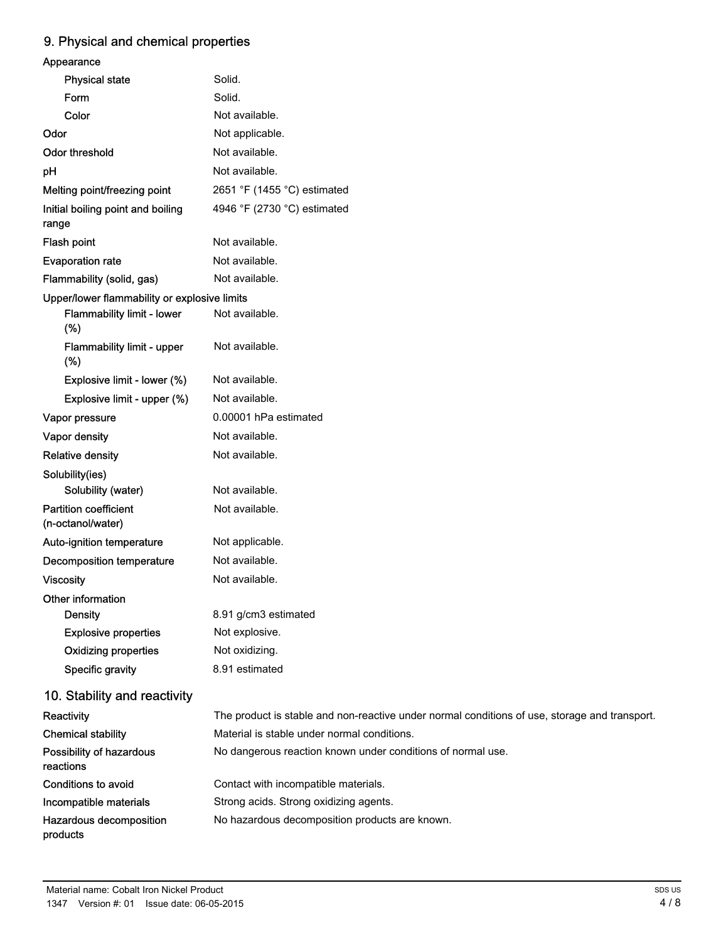## 9. Physical and chemical properties

| Appearance                                        |                                                                                               |
|---------------------------------------------------|-----------------------------------------------------------------------------------------------|
| <b>Physical state</b>                             | Solid.                                                                                        |
| Form                                              | Solid.                                                                                        |
| Color                                             | Not available.                                                                                |
| Odor                                              | Not applicable.                                                                               |
| <b>Odor threshold</b>                             | Not available.                                                                                |
| pH                                                | Not available.                                                                                |
| Melting point/freezing point                      | 2651 °F (1455 °C) estimated                                                                   |
| Initial boiling point and boiling<br>range        | 4946 °F (2730 °C) estimated                                                                   |
| Flash point                                       | Not available.                                                                                |
| <b>Evaporation rate</b>                           | Not available.                                                                                |
| Flammability (solid, gas)                         | Not available.                                                                                |
| Upper/lower flammability or explosive limits      |                                                                                               |
| Flammability limit - lower<br>(%)                 | Not available.                                                                                |
| Flammability limit - upper<br>(%)                 | Not available.                                                                                |
| Explosive limit - lower (%)                       | Not available.                                                                                |
| Explosive limit - upper (%)                       | Not available.                                                                                |
| Vapor pressure                                    | 0.00001 hPa estimated                                                                         |
| Vapor density                                     | Not available.                                                                                |
| <b>Relative density</b>                           | Not available.                                                                                |
| Solubility(ies)                                   |                                                                                               |
| Solubility (water)                                | Not available.                                                                                |
| <b>Partition coefficient</b><br>(n-octanol/water) | Not available.                                                                                |
| Auto-ignition temperature                         | Not applicable.                                                                               |
| <b>Decomposition temperature</b>                  | Not available.                                                                                |
| <b>Viscosity</b>                                  | Not available.                                                                                |
| Other information                                 |                                                                                               |
| <b>Density</b>                                    | 8.91 g/cm3 estimated                                                                          |
| <b>Explosive properties</b>                       | Not explosive.                                                                                |
| <b>Oxidizing properties</b>                       | Not oxidizing.                                                                                |
| Specific gravity                                  | 8.91 estimated                                                                                |
| 10. Stability and reactivity                      |                                                                                               |
| Reactivity                                        | The product is stable and non-reactive under normal conditions of use, storage and transport. |
| <b>Chemical stability</b>                         | Material is stable under normal conditions.                                                   |
| Possibility of hazardous<br>reactions             | No dangerous reaction known under conditions of normal use.                                   |
| <b>Conditions to avoid</b>                        | Contact with incompatible materials.                                                          |
| Incompatible materials                            | Strong acids. Strong oxidizing agents.                                                        |
| Hazardous decomposition<br>products               | No hazardous decomposition products are known.                                                |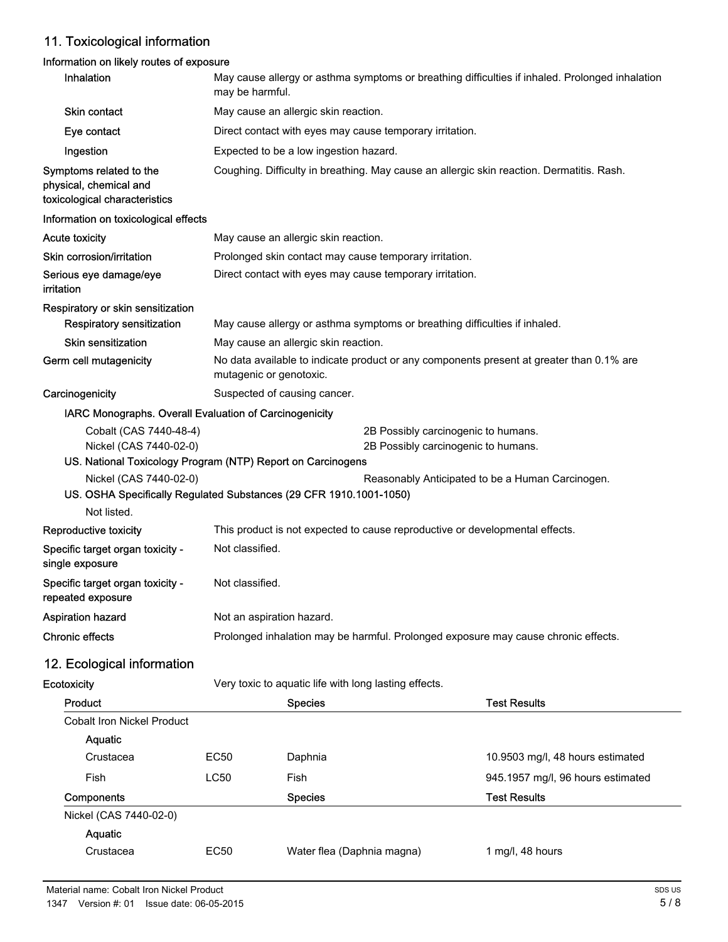### 11. Toxicological information

### Information on likely routes of exposure

| Inhalation                                                                         | May cause allergy or asthma symptoms or breathing difficulties if inhaled. Prolonged inhalation<br>may be harmful. |                                                                                           |                                   |  |  |
|------------------------------------------------------------------------------------|--------------------------------------------------------------------------------------------------------------------|-------------------------------------------------------------------------------------------|-----------------------------------|--|--|
| Skin contact                                                                       | May cause an allergic skin reaction.                                                                               |                                                                                           |                                   |  |  |
| Eye contact                                                                        | Direct contact with eyes may cause temporary irritation.                                                           |                                                                                           |                                   |  |  |
| Ingestion                                                                          | Expected to be a low ingestion hazard.                                                                             |                                                                                           |                                   |  |  |
| Symptoms related to the<br>physical, chemical and<br>toxicological characteristics |                                                                                                                    | Coughing. Difficulty in breathing. May cause an allergic skin reaction. Dermatitis. Rash. |                                   |  |  |
| Information on toxicological effects                                               |                                                                                                                    |                                                                                           |                                   |  |  |
| Acute toxicity                                                                     |                                                                                                                    | May cause an allergic skin reaction.                                                      |                                   |  |  |
| Skin corrosion/irritation                                                          |                                                                                                                    | Prolonged skin contact may cause temporary irritation.                                    |                                   |  |  |
| Serious eye damage/eye<br>irritation                                               |                                                                                                                    | Direct contact with eyes may cause temporary irritation.                                  |                                   |  |  |
| Respiratory or skin sensitization                                                  |                                                                                                                    |                                                                                           |                                   |  |  |
| <b>Respiratory sensitization</b>                                                   |                                                                                                                    | May cause allergy or asthma symptoms or breathing difficulties if inhaled.                |                                   |  |  |
| <b>Skin sensitization</b>                                                          |                                                                                                                    | May cause an allergic skin reaction.                                                      |                                   |  |  |
| Germ cell mutagenicity                                                             | mutagenic or genotoxic.                                                                                            | No data available to indicate product or any components present at greater than 0.1% are  |                                   |  |  |
| Carcinogenicity                                                                    | Suspected of causing cancer.                                                                                       |                                                                                           |                                   |  |  |
| IARC Monographs. Overall Evaluation of Carcinogenicity                             |                                                                                                                    |                                                                                           |                                   |  |  |
| Cobalt (CAS 7440-48-4)                                                             |                                                                                                                    | 2B Possibly carcinogenic to humans.                                                       |                                   |  |  |
| Nickel (CAS 7440-02-0)                                                             |                                                                                                                    | 2B Possibly carcinogenic to humans.                                                       |                                   |  |  |
| Nickel (CAS 7440-02-0)                                                             | US. National Toxicology Program (NTP) Report on Carcinogens<br>Reasonably Anticipated to be a Human Carcinogen.    |                                                                                           |                                   |  |  |
| US. OSHA Specifically Regulated Substances (29 CFR 1910.1001-1050)                 |                                                                                                                    |                                                                                           |                                   |  |  |
| Not listed.                                                                        |                                                                                                                    |                                                                                           |                                   |  |  |
| Reproductive toxicity                                                              | This product is not expected to cause reproductive or developmental effects.                                       |                                                                                           |                                   |  |  |
| Specific target organ toxicity -<br>single exposure                                | Not classified.                                                                                                    |                                                                                           |                                   |  |  |
| Specific target organ toxicity -<br>repeated exposure                              | Not classified.                                                                                                    |                                                                                           |                                   |  |  |
| <b>Aspiration hazard</b>                                                           | Not an aspiration hazard.                                                                                          |                                                                                           |                                   |  |  |
| <b>Chronic effects</b>                                                             | Prolonged inhalation may be harmful. Prolonged exposure may cause chronic effects.                                 |                                                                                           |                                   |  |  |
| 12. Ecological information                                                         |                                                                                                                    |                                                                                           |                                   |  |  |
| Ecotoxicity                                                                        |                                                                                                                    | Very toxic to aquatic life with long lasting effects.                                     |                                   |  |  |
| Product                                                                            |                                                                                                                    | <b>Species</b>                                                                            | <b>Test Results</b>               |  |  |
| <b>Cobalt Iron Nickel Product</b>                                                  |                                                                                                                    |                                                                                           |                                   |  |  |
| Aquatic                                                                            |                                                                                                                    |                                                                                           |                                   |  |  |
| Crustacea                                                                          | EC50                                                                                                               | Daphnia                                                                                   | 10.9503 mg/l, 48 hours estimated  |  |  |
| Fish                                                                               | <b>LC50</b>                                                                                                        | Fish                                                                                      | 945.1957 mg/l, 96 hours estimated |  |  |
| Components                                                                         |                                                                                                                    | <b>Species</b>                                                                            | <b>Test Results</b>               |  |  |
| Nickel (CAS 7440-02-0)                                                             |                                                                                                                    |                                                                                           |                                   |  |  |
| Aquatic                                                                            |                                                                                                                    |                                                                                           |                                   |  |  |
| Crustacea                                                                          | <b>EC50</b>                                                                                                        | Water flea (Daphnia magna)                                                                | 1 mg/l, 48 hours                  |  |  |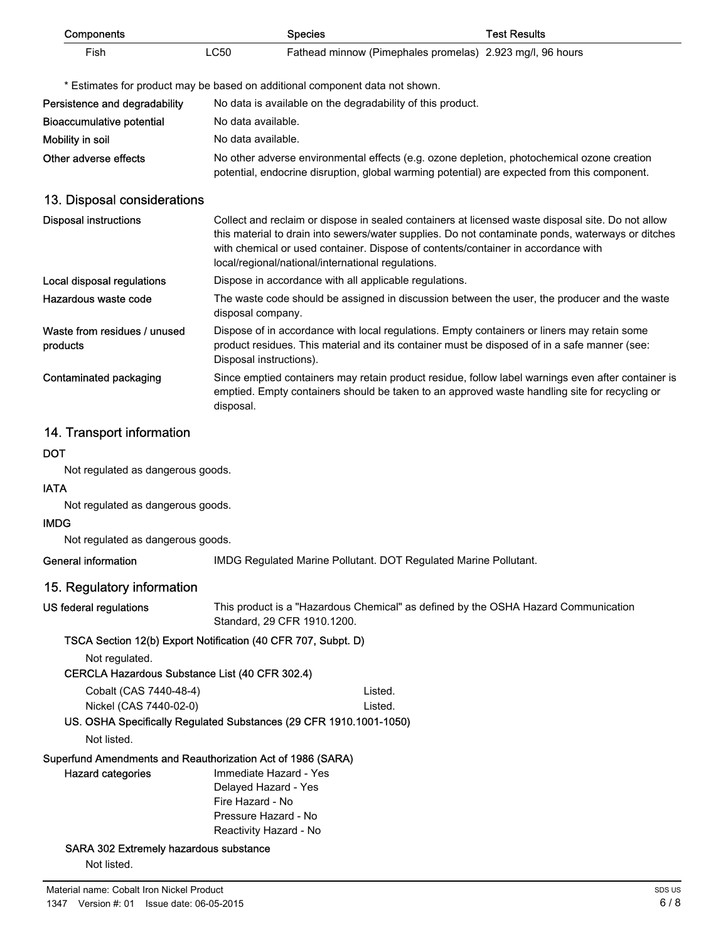| Components                                                                              |                    | <b>Species</b>                                                                                                                                                                                                                                                                                                                                    | <b>Test Results</b> |
|-----------------------------------------------------------------------------------------|--------------------|---------------------------------------------------------------------------------------------------------------------------------------------------------------------------------------------------------------------------------------------------------------------------------------------------------------------------------------------------|---------------------|
| Fish                                                                                    | <b>LC50</b>        | Fathead minnow (Pimephales promelas) 2.923 mg/l, 96 hours                                                                                                                                                                                                                                                                                         |                     |
|                                                                                         |                    | * Estimates for product may be based on additional component data not shown.                                                                                                                                                                                                                                                                      |                     |
| Persistence and degradability                                                           |                    | No data is available on the degradability of this product.                                                                                                                                                                                                                                                                                        |                     |
| <b>Bioaccumulative potential</b>                                                        | No data available. |                                                                                                                                                                                                                                                                                                                                                   |                     |
| Mobility in soil                                                                        | No data available. |                                                                                                                                                                                                                                                                                                                                                   |                     |
| Other adverse effects                                                                   |                    | No other adverse environmental effects (e.g. ozone depletion, photochemical ozone creation<br>potential, endocrine disruption, global warming potential) are expected from this component.                                                                                                                                                        |                     |
| 13. Disposal considerations                                                             |                    |                                                                                                                                                                                                                                                                                                                                                   |                     |
| <b>Disposal instructions</b>                                                            |                    | Collect and reclaim or dispose in sealed containers at licensed waste disposal site. Do not allow<br>this material to drain into sewers/water supplies. Do not contaminate ponds, waterways or ditches<br>with chemical or used container. Dispose of contents/container in accordance with<br>local/regional/national/international regulations. |                     |
| Local disposal regulations                                                              |                    | Dispose in accordance with all applicable regulations.                                                                                                                                                                                                                                                                                            |                     |
| Hazardous waste code                                                                    | disposal company.  | The waste code should be assigned in discussion between the user, the producer and the waste                                                                                                                                                                                                                                                      |                     |
| Waste from residues / unused<br>products                                                |                    | Dispose of in accordance with local regulations. Empty containers or liners may retain some<br>product residues. This material and its container must be disposed of in a safe manner (see:<br>Disposal instructions).                                                                                                                            |                     |
| Contaminated packaging                                                                  | disposal.          | Since emptied containers may retain product residue, follow label warnings even after container is<br>emptied. Empty containers should be taken to an approved waste handling site for recycling or                                                                                                                                               |                     |
| 14. Transport information                                                               |                    |                                                                                                                                                                                                                                                                                                                                                   |                     |
| <b>DOT</b>                                                                              |                    |                                                                                                                                                                                                                                                                                                                                                   |                     |
| Not regulated as dangerous goods.                                                       |                    |                                                                                                                                                                                                                                                                                                                                                   |                     |
| <b>IATA</b>                                                                             |                    |                                                                                                                                                                                                                                                                                                                                                   |                     |
| Not regulated as dangerous goods.                                                       |                    |                                                                                                                                                                                                                                                                                                                                                   |                     |
| <b>IMDG</b>                                                                             |                    |                                                                                                                                                                                                                                                                                                                                                   |                     |
| Not regulated as dangerous goods.                                                       |                    |                                                                                                                                                                                                                                                                                                                                                   |                     |
| General information                                                                     |                    | IMDG Regulated Marine Pollutant. DOT Regulated Marine Pollutant.                                                                                                                                                                                                                                                                                  |                     |
| 15. Regulatory information                                                              |                    |                                                                                                                                                                                                                                                                                                                                                   |                     |
| US federal regulations                                                                  |                    | This product is a "Hazardous Chemical" as defined by the OSHA Hazard Communication<br>Standard, 29 CFR 1910.1200.                                                                                                                                                                                                                                 |                     |
| TSCA Section 12(b) Export Notification (40 CFR 707, Subpt. D)                           |                    |                                                                                                                                                                                                                                                                                                                                                   |                     |
| Not regulated.                                                                          |                    |                                                                                                                                                                                                                                                                                                                                                   |                     |
| CERCLA Hazardous Substance List (40 CFR 302.4)                                          |                    |                                                                                                                                                                                                                                                                                                                                                   |                     |
| Cobalt (CAS 7440-48-4)                                                                  |                    | Listed.                                                                                                                                                                                                                                                                                                                                           |                     |
| Nickel (CAS 7440-02-0)                                                                  |                    | Listed.                                                                                                                                                                                                                                                                                                                                           |                     |
| Not listed.                                                                             |                    | US. OSHA Specifically Regulated Substances (29 CFR 1910.1001-1050)                                                                                                                                                                                                                                                                                |                     |
|                                                                                         |                    |                                                                                                                                                                                                                                                                                                                                                   |                     |
| Superfund Amendments and Reauthorization Act of 1986 (SARA)<br><b>Hazard categories</b> |                    | Immediate Hazard - Yes                                                                                                                                                                                                                                                                                                                            |                     |
|                                                                                         |                    | Delayed Hazard - Yes                                                                                                                                                                                                                                                                                                                              |                     |
|                                                                                         | Fire Hazard - No   |                                                                                                                                                                                                                                                                                                                                                   |                     |
|                                                                                         |                    | Pressure Hazard - No<br>Reactivity Hazard - No                                                                                                                                                                                                                                                                                                    |                     |
| SARA 302 Extremely hazardous substance                                                  |                    |                                                                                                                                                                                                                                                                                                                                                   |                     |
| Not listed.                                                                             |                    |                                                                                                                                                                                                                                                                                                                                                   |                     |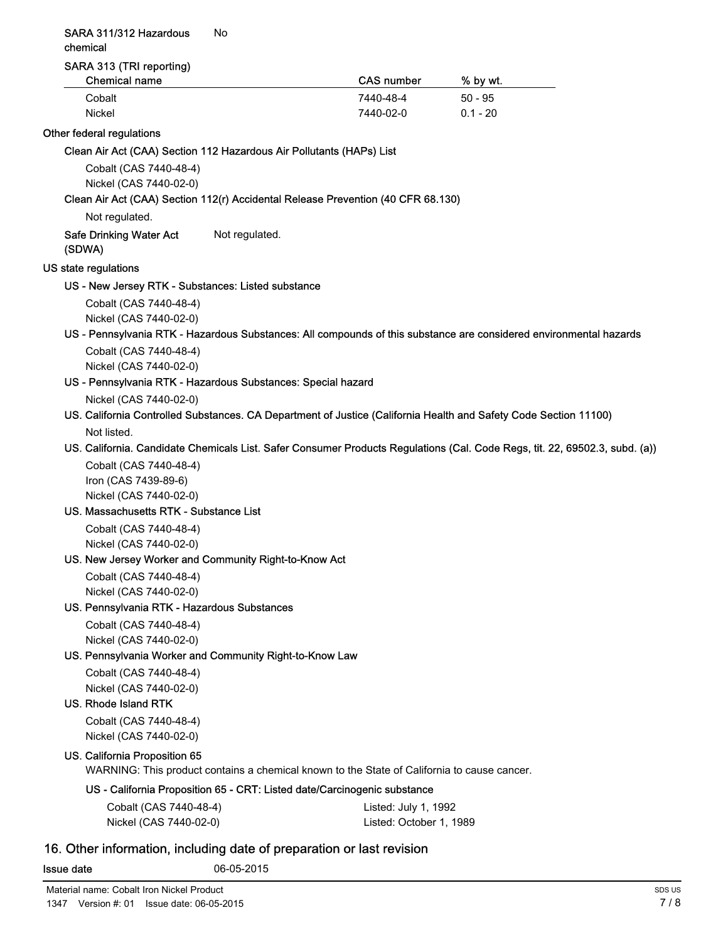#### SARA 311/312 Hazardous No chemical

#### SARA 313 (TRI reporting)

| Chemical name | <b>CAS</b> number | % by wt.   |  |
|---------------|-------------------|------------|--|
| Cobalt        | 7440-48-4         | $50 - 95$  |  |
| Nickel        | 7440-02-0         | $0.1 - 20$ |  |

#### Other federal regulations

Clean Air Act (CAA) Section 112 Hazardous Air Pollutants (HAPs) List

Cobalt (CAS 7440-48-4) Nickel (CAS 7440-02-0)

#### Clean Air Act (CAA) Section 112(r) Accidental Release Prevention (40 CFR 68.130)

Not regulated.

Safe Drinking Water Act Not regulated. (SDWA)

#### US state regulations

#### US - New Jersey RTK - Substances: Listed substance

Cobalt (CAS 7440-48-4) Nickel (CAS 7440-02-0)

#### US - Pennsylvania RTK - Hazardous Substances: All compounds of this substance are considered environmental hazards

Cobalt (CAS 7440-48-4) Nickel (CAS 7440-02-0)

#### US - Pennsylvania RTK - Hazardous Substances: Special hazard

Nickel (CAS 7440-02-0)

#### US. California Controlled Substances. CA Department of Justice (California Health and Safety Code Section 11100)

Not listed.

#### US. California. Candidate Chemicals List. Safer Consumer Products Regulations (Cal. Code Regs, tit. 22, 69502.3, subd. (a))

Cobalt (CAS 7440-48-4) Iron (CAS 7439-89-6) Nickel (CAS 7440-02-0)

#### US. Massachusetts RTK - Substance List

Cobalt (CAS 7440-48-4) Nickel (CAS 7440-02-0)

#### US. New Jersey Worker and Community Right-to-Know Act

Cobalt (CAS 7440-48-4) Nickel (CAS 7440-02-0)

#### US. Pennsylvania RTK - Hazardous Substances

Cobalt (CAS 7440-48-4) Nickel (CAS 7440-02-0)

#### US. Pennsylvania Worker and Community Right-to-Know Law

Cobalt (CAS 7440-48-4) Nickel (CAS 7440-02-0)

#### US. Rhode Island RTK

Cobalt (CAS 7440-48-4) Nickel (CAS 7440-02-0)

#### US. California Proposition 65

WARNING: This product contains a chemical known to the State of California to cause cancer.

#### US - California Proposition 65 - CRT: Listed date/Carcinogenic substance

| Cobalt (CAS 7440-48-4) | Listed: July 1, 1992    |
|------------------------|-------------------------|
| Nickel (CAS 7440-02-0) | Listed: October 1, 1989 |

### 16. Other information, including date of preparation or last revision

**Issue date** 06-05-2015